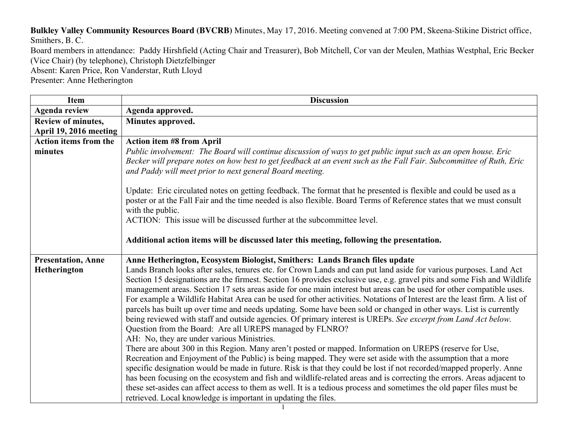**Bulkley Valley Community Resources Board (BVCRB)** Minutes, May 17, 2016. Meeting convened at 7:00 PM, Skeena-Stikine District office, Smithers, B. C.

Board members in attendance: Paddy Hirshfield (Acting Chair and Treasurer), Bob Mitchell, Cor van der Meulen, Mathias Westphal, Eric Becker (Vice Chair) (by telephone), Christoph Dietzfelbinger

Absent: Karen Price, Ron Vanderstar, Ruth Lloyd

Presenter: Anne Hetherington

| Item                         | <b>Discussion</b>                                                                                                                                                                                                                                                                                                                                                                                                                                                                                                                                                                                                                                                                                                                                                                                                                                    |
|------------------------------|------------------------------------------------------------------------------------------------------------------------------------------------------------------------------------------------------------------------------------------------------------------------------------------------------------------------------------------------------------------------------------------------------------------------------------------------------------------------------------------------------------------------------------------------------------------------------------------------------------------------------------------------------------------------------------------------------------------------------------------------------------------------------------------------------------------------------------------------------|
| <b>Agenda review</b>         | Agenda approved.                                                                                                                                                                                                                                                                                                                                                                                                                                                                                                                                                                                                                                                                                                                                                                                                                                     |
| Review of minutes,           | Minutes approved.                                                                                                                                                                                                                                                                                                                                                                                                                                                                                                                                                                                                                                                                                                                                                                                                                                    |
| April 19, 2016 meeting       |                                                                                                                                                                                                                                                                                                                                                                                                                                                                                                                                                                                                                                                                                                                                                                                                                                                      |
| <b>Action items from the</b> | <b>Action item #8 from April</b>                                                                                                                                                                                                                                                                                                                                                                                                                                                                                                                                                                                                                                                                                                                                                                                                                     |
| minutes                      | Public involvement: The Board will continue discussion of ways to get public input such as an open house. Eric<br>Becker will prepare notes on how best to get feedback at an event such as the Fall Fair. Subcommittee of Ruth, Eric<br>and Paddy will meet prior to next general Board meeting.                                                                                                                                                                                                                                                                                                                                                                                                                                                                                                                                                    |
|                              | Update: Eric circulated notes on getting feedback. The format that he presented is flexible and could be used as a<br>poster or at the Fall Fair and the time needed is also flexible. Board Terms of Reference states that we must consult<br>with the public.                                                                                                                                                                                                                                                                                                                                                                                                                                                                                                                                                                                      |
|                              | ACTION: This issue will be discussed further at the subcommittee level.                                                                                                                                                                                                                                                                                                                                                                                                                                                                                                                                                                                                                                                                                                                                                                              |
|                              | Additional action items will be discussed later this meeting, following the presentation.                                                                                                                                                                                                                                                                                                                                                                                                                                                                                                                                                                                                                                                                                                                                                            |
| <b>Presentation, Anne</b>    | Anne Hetherington, Ecosystem Biologist, Smithers: Lands Branch files update                                                                                                                                                                                                                                                                                                                                                                                                                                                                                                                                                                                                                                                                                                                                                                          |
| Hetherington                 | Lands Branch looks after sales, tenures etc. for Crown Lands and can put land aside for various purposes. Land Act<br>Section 15 designations are the firmest. Section 16 provides exclusive use, e.g. gravel pits and some Fish and Wildlife<br>management areas. Section 17 sets areas aside for one main interest but areas can be used for other compatible uses.<br>For example a Wildlife Habitat Area can be used for other activities. Notations of Interest are the least firm. A list of<br>parcels has built up over time and needs updating. Some have been sold or changed in other ways. List is currently<br>being reviewed with staff and outside agencies. Of primary interest is UREPs. See excerpt from Land Act below.<br>Question from the Board: Are all UREPS managed by FLNRO?<br>AH: No, they are under various Ministries. |
|                              | There are about 300 in this Region. Many aren't posted or mapped. Information on UREPS (reserve for Use,<br>Recreation and Enjoyment of the Public) is being mapped. They were set aside with the assumption that a more<br>specific designation would be made in future. Risk is that they could be lost if not recorded/mapped properly. Anne<br>has been focusing on the ecosystem and fish and wildlife-related areas and is correcting the errors. Areas adjacent to<br>these set-asides can affect access to them as well. It is a tedious process and sometimes the old paper files must be<br>retrieved. Local knowledge is important in updating the files.                                                                                                                                                                                 |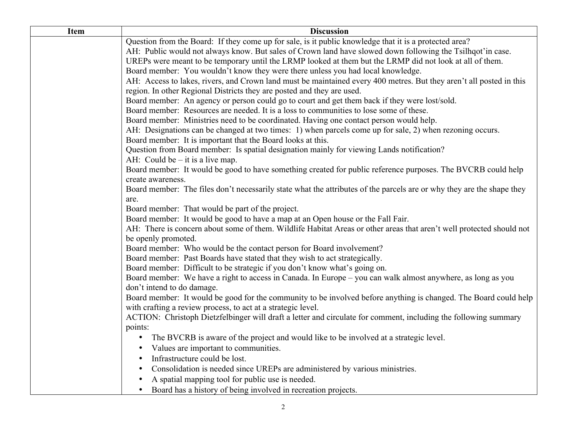| <b>Item</b> | <b>Discussion</b>                                                                                                                   |
|-------------|-------------------------------------------------------------------------------------------------------------------------------------|
|             | Question from the Board: If they come up for sale, is it public knowledge that it is a protected area?                              |
|             | AH: Public would not always know. But sales of Crown land have slowed down following the Tsilhqot'in case.                          |
|             | UREPs were meant to be temporary until the LRMP looked at them but the LRMP did not look at all of them.                            |
|             | Board member: You wouldn't know they were there unless you had local knowledge.                                                     |
|             | AH: Access to lakes, rivers, and Crown land must be maintained every 400 metres. But they aren't all posted in this                 |
|             | region. In other Regional Districts they are posted and they are used.                                                              |
|             | Board member: An agency or person could go to court and get them back if they were lost/sold.                                       |
|             | Board member: Resources are needed. It is a loss to communities to lose some of these.                                              |
|             | Board member: Ministries need to be coordinated. Having one contact person would help.                                              |
|             | AH: Designations can be changed at two times: 1) when parcels come up for sale, 2) when rezoning occurs.                            |
|             | Board member: It is important that the Board looks at this.                                                                         |
|             | Question from Board member: Is spatial designation mainly for viewing Lands notification?                                           |
|             | AH: Could be $-$ it is a live map.                                                                                                  |
|             | Board member: It would be good to have something created for public reference purposes. The BVCRB could help                        |
|             | create awareness.                                                                                                                   |
|             | Board member: The files don't necessarily state what the attributes of the parcels are or why they are the shape they               |
|             | are.                                                                                                                                |
|             | Board member: That would be part of the project.<br>Board member: It would be good to have a map at an Open house or the Fall Fair. |
|             | AH: There is concern about some of them. Wildlife Habitat Areas or other areas that aren't well protected should not                |
|             | be openly promoted.                                                                                                                 |
|             | Board member: Who would be the contact person for Board involvement?                                                                |
|             | Board member: Past Boards have stated that they wish to act strategically.                                                          |
|             | Board member: Difficult to be strategic if you don't know what's going on.                                                          |
|             | Board member: We have a right to access in Canada. In Europe – you can walk almost anywhere, as long as you                         |
|             | don't intend to do damage.                                                                                                          |
|             | Board member: It would be good for the community to be involved before anything is changed. The Board could help                    |
|             | with crafting a review process, to act at a strategic level.                                                                        |
|             | ACTION: Christoph Dietzfelbinger will draft a letter and circulate for comment, including the following summary                     |
|             | points:                                                                                                                             |
|             | The BVCRB is aware of the project and would like to be involved at a strategic level.                                               |
|             | Values are important to communities.                                                                                                |
|             | Infrastructure could be lost.                                                                                                       |
|             | Consolidation is needed since UREPs are administered by various ministries.                                                         |
|             | A spatial mapping tool for public use is needed.                                                                                    |
|             | Board has a history of being involved in recreation projects.<br>$\bullet$                                                          |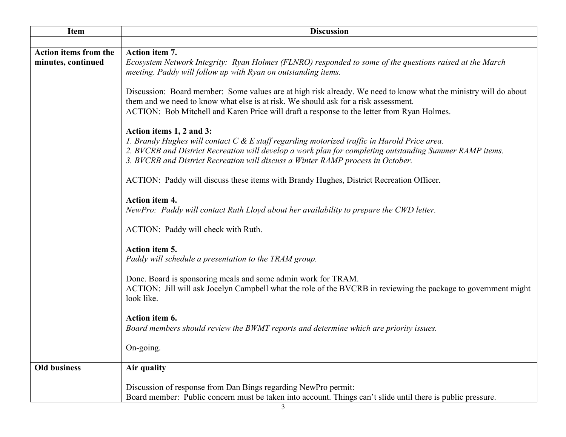| <b>Item</b>                  | <b>Discussion</b>                                                                                                                                                                                                                                                                                                     |
|------------------------------|-----------------------------------------------------------------------------------------------------------------------------------------------------------------------------------------------------------------------------------------------------------------------------------------------------------------------|
|                              |                                                                                                                                                                                                                                                                                                                       |
| <b>Action items from the</b> | Action item 7.                                                                                                                                                                                                                                                                                                        |
| minutes, continued           | Ecosystem Network Integrity: Ryan Holmes (FLNRO) responded to some of the questions raised at the March<br>meeting. Paddy will follow up with Ryan on outstanding items.                                                                                                                                              |
|                              | Discussion: Board member: Some values are at high risk already. We need to know what the ministry will do about<br>them and we need to know what else is at risk. We should ask for a risk assessment.<br>ACTION: Bob Mitchell and Karen Price will draft a response to the letter from Ryan Holmes.                  |
|                              | Action items 1, 2 and 3:<br>1. Brandy Hughes will contact C & E staff regarding motorized traffic in Harold Price area.<br>2. BVCRB and District Recreation will develop a work plan for completing outstanding Summer RAMP items.<br>3. BVCRB and District Recreation will discuss a Winter RAMP process in October. |
|                              | ACTION: Paddy will discuss these items with Brandy Hughes, District Recreation Officer.                                                                                                                                                                                                                               |
|                              | Action item 4.<br>NewPro: Paddy will contact Ruth Lloyd about her availability to prepare the CWD letter.                                                                                                                                                                                                             |
|                              | ACTION: Paddy will check with Ruth.                                                                                                                                                                                                                                                                                   |
|                              | Action item 5.<br>Paddy will schedule a presentation to the TRAM group.                                                                                                                                                                                                                                               |
|                              | Done. Board is sponsoring meals and some admin work for TRAM.<br>ACTION: Jill will ask Jocelyn Campbell what the role of the BVCRB in reviewing the package to government might<br>look like.                                                                                                                         |
|                              | Action item 6.<br>Board members should review the BWMT reports and determine which are priority issues.                                                                                                                                                                                                               |
|                              | On-going.                                                                                                                                                                                                                                                                                                             |
| <b>Old business</b>          | Air quality                                                                                                                                                                                                                                                                                                           |
|                              | Discussion of response from Dan Bings regarding NewPro permit:<br>Board member: Public concern must be taken into account. Things can't slide until there is public pressure.                                                                                                                                         |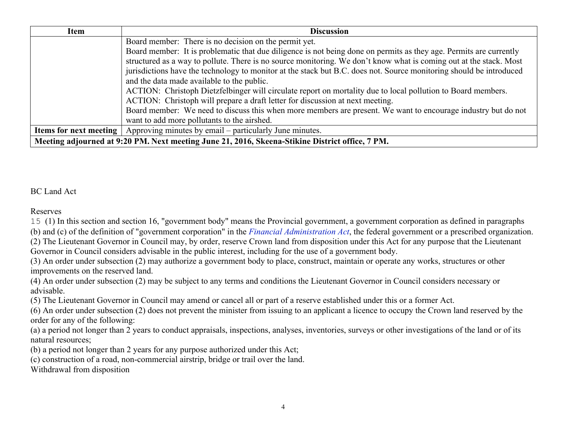| Item                                                                                            | <b>Discussion</b>                                                                                                   |  |
|-------------------------------------------------------------------------------------------------|---------------------------------------------------------------------------------------------------------------------|--|
|                                                                                                 | Board member: There is no decision on the permit yet.                                                               |  |
|                                                                                                 | Board member: It is problematic that due diligence is not being done on permits as they age. Permits are currently  |  |
|                                                                                                 | structured as a way to pollute. There is no source monitoring. We don't know what is coming out at the stack. Most  |  |
|                                                                                                 | jurisdictions have the technology to monitor at the stack but B.C. does not. Source monitoring should be introduced |  |
|                                                                                                 | and the data made available to the public.                                                                          |  |
|                                                                                                 | ACTION: Christoph Dietzfelbinger will circulate report on mortality due to local pollution to Board members.        |  |
|                                                                                                 | ACTION: Christoph will prepare a draft letter for discussion at next meeting.                                       |  |
|                                                                                                 | Board member: We need to discuss this when more members are present. We want to encourage industry but do not       |  |
|                                                                                                 | want to add more pollutants to the airshed.                                                                         |  |
|                                                                                                 | <b>Items for next meeting   Approving minutes by email – particularly June minutes.</b>                             |  |
| Meeting adjourned at 9:20 PM. Next meeting June 21, 2016, Skeena-Stikine District office, 7 PM. |                                                                                                                     |  |

## BC Land Act

Reserves

15 (1) In this section and section 16, "government body" means the Provincial government, a government corporation as defined in paragraphs (b) and (c) of the definition of "government corporation" in the *Financial Administration Act*, the federal government or a prescribed organization. (2) The Lieutenant Governor in Council may, by order, reserve Crown land from disposition under this Act for any purpose that the Lieutenant

Governor in Council considers advisable in the public interest, including for the use of a government body.

(3) An order under subsection (2) may authorize a government body to place, construct, maintain or operate any works, structures or other improvements on the reserved land.

(4) An order under subsection (2) may be subject to any terms and conditions the Lieutenant Governor in Council considers necessary or advisable.

(5) The Lieutenant Governor in Council may amend or cancel all or part of a reserve established under this or a former Act.

(6) An order under subsection (2) does not prevent the minister from issuing to an applicant a licence to occupy the Crown land reserved by the order for any of the following:

(a) a period not longer than 2 years to conduct appraisals, inspections, analyses, inventories, surveys or other investigations of the land or of its natural resources;

(b) a period not longer than 2 years for any purpose authorized under this Act;

(c) construction of a road, non-commercial airstrip, bridge or trail over the land.

Withdrawal from disposition